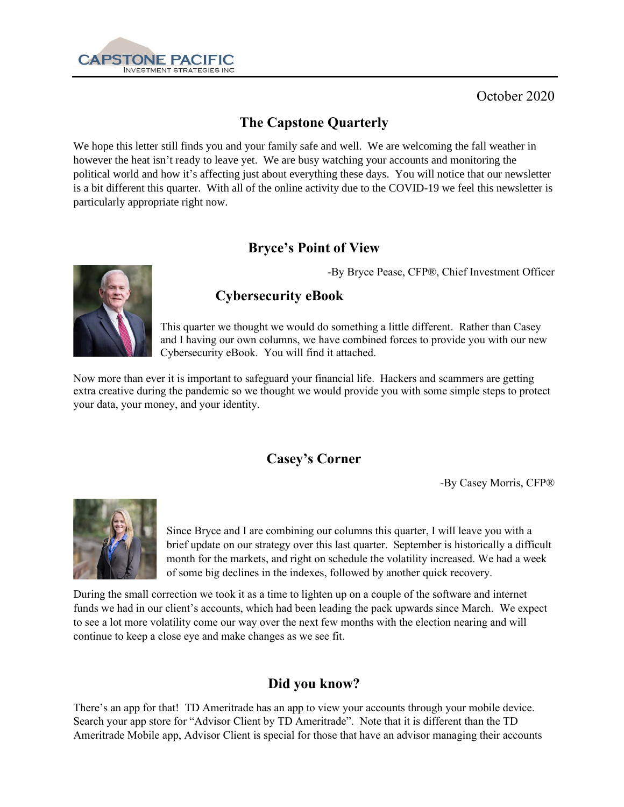

October 2020

# **The Capstone Quarterly**

We hope this letter still finds you and your family safe and well. We are welcoming the fall weather in however the heat isn't ready to leave yet. We are busy watching your accounts and monitoring the political world and how it's affecting just about everything these days. You will notice that our newsletter is a bit different this quarter. With all of the online activity due to the COVID-19 we feel this newsletter is particularly appropriate right now.

# **Bryce's Point of View**



-By Bryce Pease, CFP®, Chief Investment Officer

# **Cybersecurity eBook**

This quarter we thought we would do something a little different. Rather than Casey and I having our own columns, we have combined forces to provide you with our new Cybersecurity eBook. You will find it attached.

Now more than ever it is important to safeguard your financial life. Hackers and scammers are getting extra creative during the pandemic so we thought we would provide you with some simple steps to protect your data, your money, and your identity.

### **Casey's Corner**

-By Casey Morris, CFP®



Since Bryce and I are combining our columns this quarter, I will leave you with a brief update on our strategy over this last quarter. September is historically a difficult month for the markets, and right on schedule the volatility increased. We had a week of some big declines in the indexes, followed by another quick recovery.

During the small correction we took it as a time to lighten up on a couple of the software and internet funds we had in our client's accounts, which had been leading the pack upwards since March. We expect to see a lot more volatility come our way over the next few months with the election nearing and will continue to keep a close eye and make changes as we see fit.

### **Did you know?**

There's an app for that! TD Ameritrade has an app to view your accounts through your mobile device. Search your app store for "Advisor Client by TD Ameritrade". Note that it is different than the TD Ameritrade Mobile app, Advisor Client is special for those that have an advisor managing their accounts